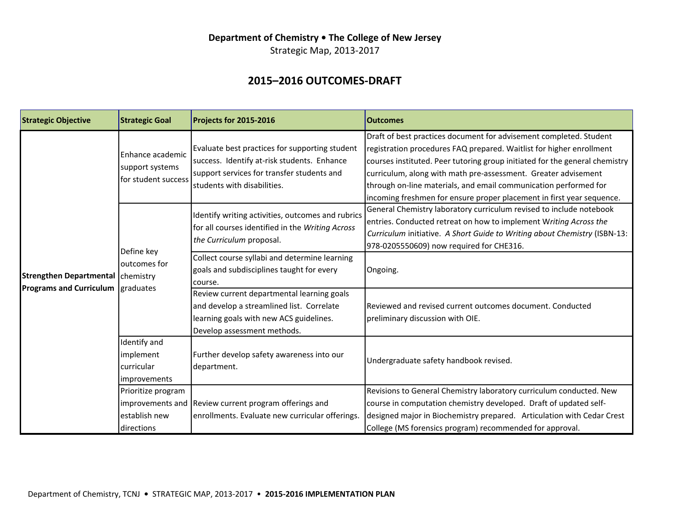### Department of Chemistry . The College of New Jersey

Strategic Map, 2013-2017

# **2015–2016 OUTCOMES-DRAFT**

| <b>Strategic Objective</b>                                          | <b>Strategic Goal</b>                                      | Projects for 2015-2016                                                                                                                                                             | <b>Outcomes</b>                                                                                                                                                                                                                                                                                                                                                                                                                          |
|---------------------------------------------------------------------|------------------------------------------------------------|------------------------------------------------------------------------------------------------------------------------------------------------------------------------------------|------------------------------------------------------------------------------------------------------------------------------------------------------------------------------------------------------------------------------------------------------------------------------------------------------------------------------------------------------------------------------------------------------------------------------------------|
| Strengthen Departmental chemistry<br><b>Programs and Curriculum</b> | Enhance academic<br>support systems<br>for student success | Evaluate best practices for supporting student<br>success. Identify at-risk students. Enhance<br>support services for transfer students and<br>lstudents with disabilities.        | Draft of best practices document for advisement completed. Student<br>registration procedures FAQ prepared. Waitlist for higher enrollment<br>courses instituted. Peer tutoring group initiated for the general chemistry<br>curriculum, along with math pre-assessment. Greater advisement<br>through on-line materials, and email communication performed for<br>incoming freshmen for ensure proper placement in first year sequence. |
|                                                                     | Define key<br>outcomes for<br>graduates                    | Identify writing activities, outcomes and rubrics<br>for all courses identified in the Writing Across<br>the Curriculum proposal.<br>Collect course syllabi and determine learning | General Chemistry laboratory curriculum revised to include notebook<br>entries. Conducted retreat on how to implement Writing Across the<br>Curriculum initiative. A Short Guide to Writing about Chemistry (ISBN-13:<br>978-0205550609) now required for CHE316.                                                                                                                                                                        |
|                                                                     |                                                            | goals and subdisciplines taught for every<br>course.                                                                                                                               | Ongoing.                                                                                                                                                                                                                                                                                                                                                                                                                                 |
|                                                                     |                                                            | Review current departmental learning goals<br>and develop a streamlined list. Correlate<br>learning goals with new ACS guidelines.<br>Develop assessment methods.                  | Reviewed and revised current outcomes document. Conducted<br>preliminary discussion with OIE.                                                                                                                                                                                                                                                                                                                                            |
|                                                                     | Identify and<br>implement<br>curricular<br>improvements    | Further develop safety awareness into our<br>department.                                                                                                                           | Undergraduate safety handbook revised.                                                                                                                                                                                                                                                                                                                                                                                                   |
|                                                                     | Prioritize program<br>establish new<br>directions          | improvements and Review current program offerings and<br>enrollments. Evaluate new curricular offerings.                                                                           | Revisions to General Chemistry laboratory curriculum conducted. New<br>course in computation chemistry developed. Draft of updated self-<br>designed major in Biochemistry prepared. Articulation with Cedar Crest<br>College (MS forensics program) recommended for approval.                                                                                                                                                           |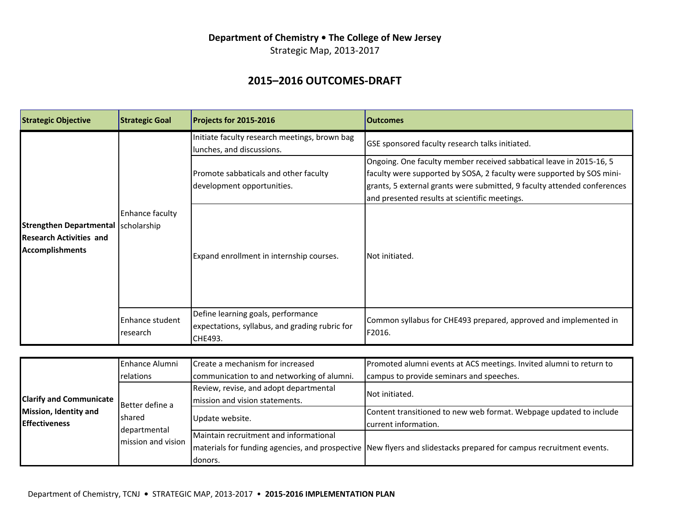### Department of Chemistry . The College of New Jersey

Strategic Map, 2013-2017

# **2015–2016 OUTCOMES-DRAFT**

| <b>Strategic Objective</b>                                                                      | <b>Strategic Goal</b>       | Projects for 2015-2016                                                                          | <b>Outcomes</b>                                                                                                                                                                                                                                                           |
|-------------------------------------------------------------------------------------------------|-----------------------------|-------------------------------------------------------------------------------------------------|---------------------------------------------------------------------------------------------------------------------------------------------------------------------------------------------------------------------------------------------------------------------------|
| Strengthen Departmental scholarship<br><b>Research Activities and</b><br><b>Accomplishments</b> | Enhance faculty             | Initiate faculty research meetings, brown bag<br>lunches, and discussions.                      | GSE sponsored faculty research talks initiated.                                                                                                                                                                                                                           |
|                                                                                                 |                             | Promote sabbaticals and other faculty<br>development opportunities.                             | Ongoing. One faculty member received sabbatical leave in 2015-16, 5<br>faculty were supported by SOSA, 2 faculty were supported by SOS mini-<br>grants, 5 external grants were submitted, 9 faculty attended conferences<br>and presented results at scientific meetings. |
|                                                                                                 |                             | Expand enrollment in internship courses.                                                        | INot initiated.                                                                                                                                                                                                                                                           |
|                                                                                                 | Enhance student<br>research | Define learning goals, performance<br>expectations, syllabus, and grading rubric for<br>CHE493. | Common syllabus for CHE493 prepared, approved and implemented in<br>F2016.                                                                                                                                                                                                |

|                                | lEnhance Alumni                               | Create a mechanism for increased           | Promoted alumni events at ACS meetings. Invited alumni to return to                                                  |
|--------------------------------|-----------------------------------------------|--------------------------------------------|----------------------------------------------------------------------------------------------------------------------|
|                                | relations                                     | communication to and networking of alumni. | campus to provide seminars and speeches.                                                                             |
|                                |                                               | Review, revise, and adopt departmental     | INot initiated.                                                                                                      |
| <b>Clarify and Communicate</b> | Better define a                               | mission and vision statements.             |                                                                                                                      |
| <b>Mission, Identity and</b>   | Ishared<br>departmental<br>mission and vision | Update website.                            | Content transitioned to new web format. Webpage updated to include                                                   |
| <b>Effectiveness</b>           |                                               |                                            | current information.                                                                                                 |
|                                |                                               | Maintain recruitment and informational     |                                                                                                                      |
|                                |                                               |                                            | Imaterials for funding agencies, and prospective INew flyers and slidestacks prepared for campus recruitment events. |
|                                |                                               | Idonors.                                   |                                                                                                                      |